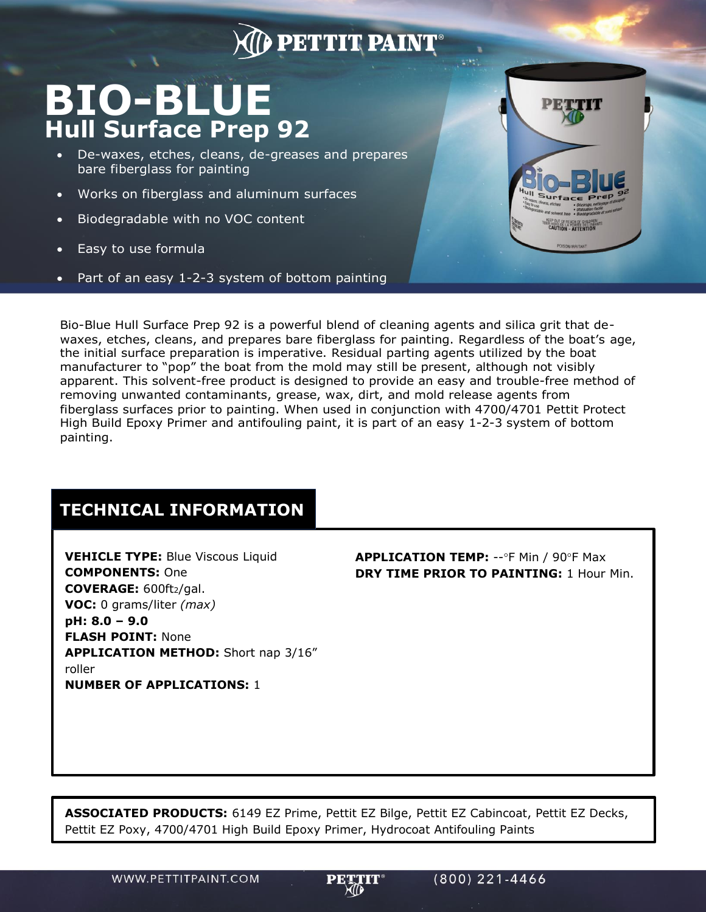## **DETTIT PAINT**

## **BIO-BLUE Hull Surface Prep 92**

- De-waxes, etches, cleans, de-greases and prepares bare fiberglass for painting
- Works on fiberglass and aluminum surfaces
- Biodegradable with no VOC content
- Easy to use formula
- Part of an easy 1-2-3 system of bottom painting



Bio-Blue Hull Surface Prep 92 is a powerful blend of cleaning agents and silica grit that dewaxes, etches, cleans, and prepares bare fiberglass for painting. Regardless of the boat's age, the initial surface preparation is imperative. Residual parting agents utilized by the boat manufacturer to "pop" the boat from the mold may still be present, although not visibly apparent. This solvent-free product is designed to provide an easy and trouble-free method of removing unwanted contaminants, grease, wax, dirt, and mold release agents from fiberglass surfaces prior to painting. When used in conjunction with 4700/4701 Pettit Protect High Build Epoxy Primer and antifouling paint, it is part of an easy 1-2-3 system of bottom painting.

## **TECHNICAL INFORMATION**

**VEHICLE TYPE:** Blue Viscous Liquid **COMPONENTS:** One **COVERAGE:** 600ft2/gal. **VOC:** 0 grams/liter *(max)* **pH: 8.0 – 9.0 FLASH POINT:** None **APPLICATION METHOD:** Short nap 3/16" roller **NUMBER OF APPLICATIONS:** 1

**APPLICATION TEMP: -- °F Min / 90°F Max DRY TIME PRIOR TO PAINTING:** 1 Hour Min.

**ASSOCIATED PRODUCTS:** 6149 EZ Prime, Pettit EZ Bilge, Pettit EZ Cabincoat, Pettit EZ Decks, Pettit EZ Poxy, 4700/4701 High Build Epoxy Primer, Hydrocoat Antifouling Paints